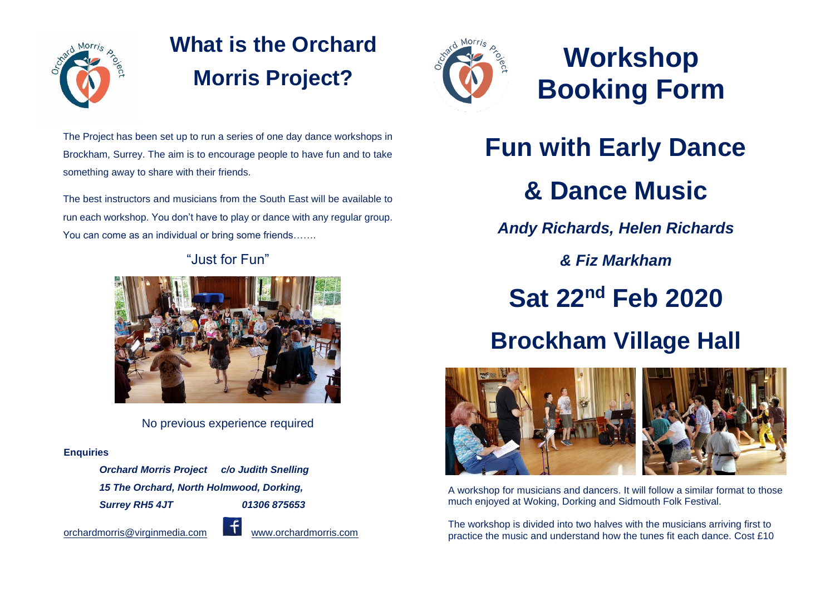

## **What is the Orchard Morris Project?**

The Project has been set up to run a series of one day dance workshops in Brockham, Surrey. The aim is to encourage people to have fun and to take something away to share with their friends.

The best instructors and musicians from the South East will be available to run each workshop. You don't have to play or dance with any regular group. You can come as an individual or bring some friends…….

"Just for Fun"

No previous experience required

#### **Enquiries**

*Orchard Morris Project c/o Judith Snelling 15 The Orchard, North Holmwood, Dorking, Surrey RH5 4JT 01306 875653* 

[orchardmorris@virginmedia.com](mailto:orchardmorris@virginmedia.com) www.orchardmorris.com



## **Workshop Booking Form**

# **Fun with Early Dance & Dance Music**

*Andy Richards, Helen Richards*

*& Fiz Markham*

**Sat 22nd Feb 2020**

### **Brockham Village Hall**



A workshop for musicians and dancers. It will follow a similar format to those much enjoyed at Woking, Dorking and Sidmouth Folk Festival.

The workshop is divided into two halves with the musicians arriving first to practice the music and understand how the tunes fit each dance. Cost £10